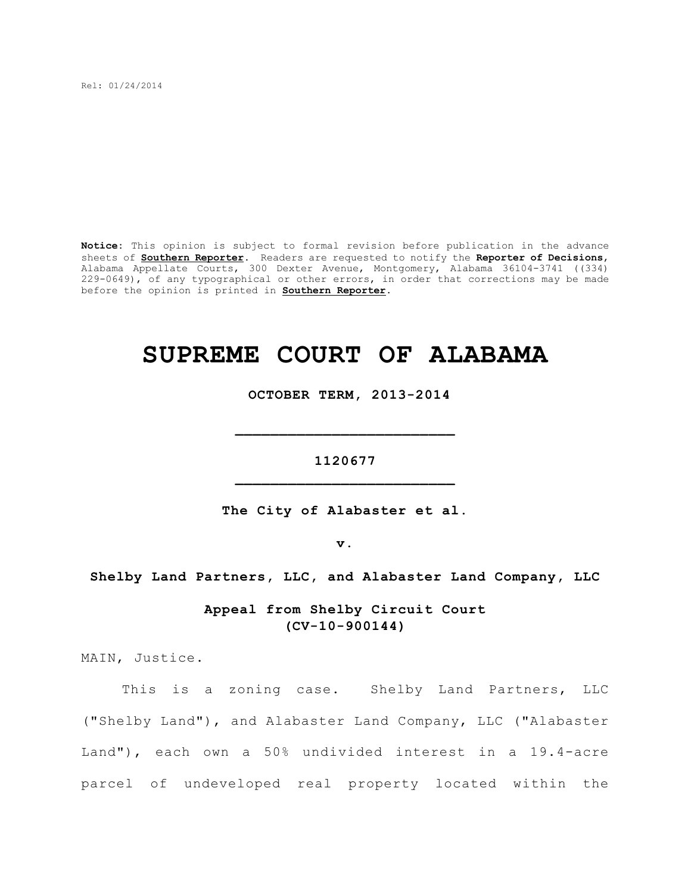Rel: 01/24/2014

**Notice:** This opinion is subject to formal revision before publication in the advance sheets of **Southern Reporter**. Readers are requested to notify the **Reporter of Decisions**, Alabama Appellate Courts, 300 Dexter Avenue, Montgomery, Alabama 36104-3741 ((334) 229-0649), of any typographical or other errors, in order that corrections may be made before the opinion is printed in **Southern Reporter**.

# **SUPREME COURT OF ALABAMA**

 **OCTOBER TERM, 2013-2014**

**1120677 \_\_\_\_\_\_\_\_\_\_\_\_\_\_\_\_\_\_\_\_\_\_\_\_\_**

**\_\_\_\_\_\_\_\_\_\_\_\_\_\_\_\_\_\_\_\_\_\_\_\_\_**

**The City of Alabaster et al.**

**v.**

**Shelby Land Partners, LLC, and Alabaster Land Company, LLC**

**Appeal from Shelby Circuit Court (CV-10-900144)**

MAIN, Justice.

This is a zoning case. Shelby Land Partners, LLC ("Shelby Land"), and Alabaster Land Company, LLC ("Alabaster Land"), each own a 50% undivided interest in a 19.4-acre parcel of undeveloped real property located within the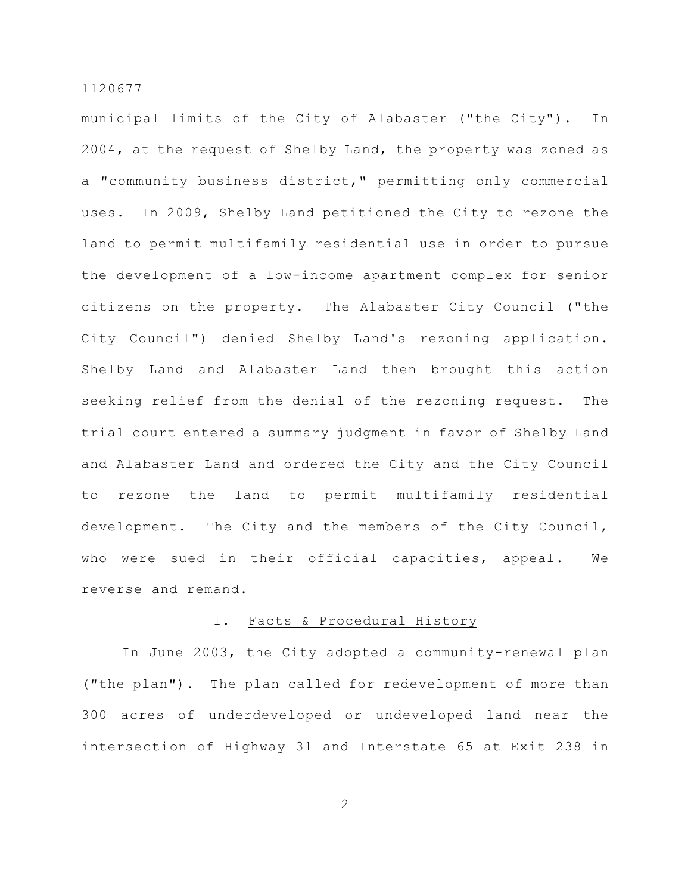municipal limits of the City of Alabaster ("the City"). In 2004, at the request of Shelby Land, the property was zoned as a "community business district," permitting only commercial uses. In 2009, Shelby Land petitioned the City to rezone the land to permit multifamily residential use in order to pursue the development of a low-income apartment complex for senior citizens on the property. The Alabaster City Council ("the City Council") denied Shelby Land's rezoning application. Shelby Land and Alabaster Land then brought this action seeking relief from the denial of the rezoning request. The trial court entered a summary judgment in favor of Shelby Land and Alabaster Land and ordered the City and the City Council to rezone the land to permit multifamily residential development. The City and the members of the City Council, who were sued in their official capacities, appeal. We reverse and remand.

## I. Facts & Procedural History

In June 2003, the City adopted a community-renewal plan ("the plan"). The plan called for redevelopment of more than 300 acres of underdeveloped or undeveloped land near the intersection of Highway 31 and Interstate 65 at Exit 238 in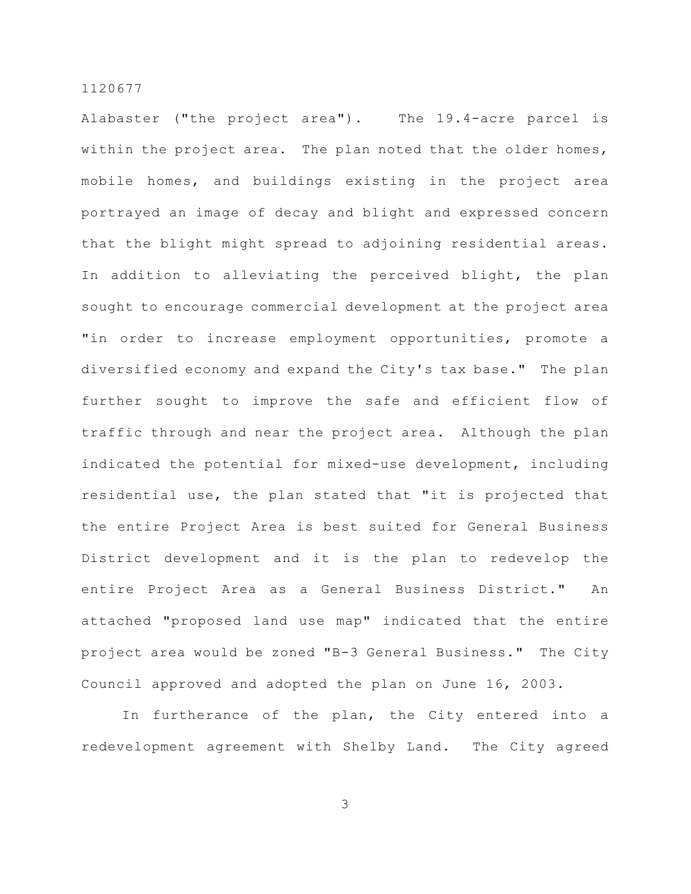Alabaster ("the project area"). The 19.4-acre parcel is within the project area. The plan noted that the older homes, mobile homes, and buildings existing in the project area portrayed an image of decay and blight and expressed concern that the blight might spread to adjoining residential areas. In addition to alleviating the perceived blight, the plan sought to encourage commercial development at the project area "in order to increase employment opportunities, promote a diversified economy and expand the City's tax base." The plan further sought to improve the safe and efficient flow of traffic through and near the project area. Although the plan indicated the potential for mixed-use development, including residential use, the plan stated that "it is projected that the entire Project Area is best suited for General Business District development and it is the plan to redevelop the entire Project Area as a General Business District." An attached "proposed land use map" indicated that the entire project area would be zoned "B-3 General Business." The City Council approved and adopted the plan on June 16, 2003.

In furtherance of the plan, the City entered into a redevelopment agreement with Shelby Land. The City agreed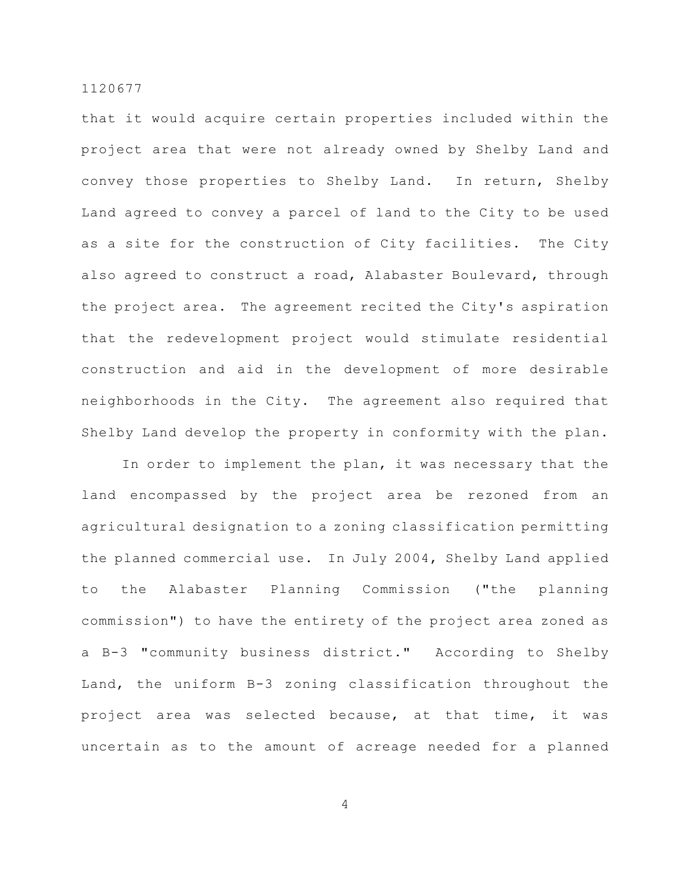that it would acquire certain properties included within the project area that were not already owned by Shelby Land and convey those properties to Shelby Land. In return, Shelby Land agreed to convey a parcel of land to the City to be used as a site for the construction of City facilities. The City also agreed to construct a road, Alabaster Boulevard, through the project area. The agreement recited the City's aspiration that the redevelopment project would stimulate residential construction and aid in the development of more desirable neighborhoods in the City. The agreement also required that Shelby Land develop the property in conformity with the plan.

In order to implement the plan, it was necessary that the land encompassed by the project area be rezoned from an agricultural designation to a zoning classification permitting the planned commercial use. In July 2004, Shelby Land applied to the Alabaster Planning Commission ("the planning commission") to have the entirety of the project area zoned as a B-3 "community business district." According to Shelby Land, the uniform B-3 zoning classification throughout the project area was selected because, at that time, it was uncertain as to the amount of acreage needed for a planned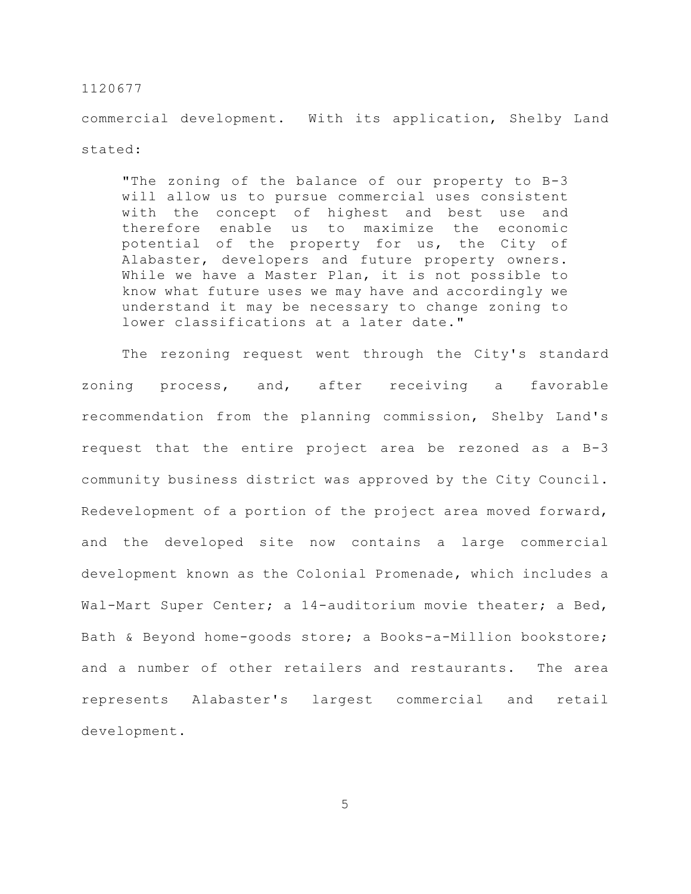commercial development. With its application, Shelby Land stated:

"The zoning of the balance of our property to B-3 will allow us to pursue commercial uses consistent with the concept of highest and best use and therefore enable us to maximize the economic potential of the property for us, the City of Alabaster, developers and future property owners. While we have a Master Plan, it is not possible to know what future uses we may have and accordingly we understand it may be necessary to change zoning to lower classifications at a later date."

The rezoning request went through the City's standard zoning process, and, after receiving a favorable recommendation from the planning commission, Shelby Land's request that the entire project area be rezoned as a B-3 community business district was approved by the City Council. Redevelopment of a portion of the project area moved forward, and the developed site now contains a large commercial development known as the Colonial Promenade, which includes a Wal-Mart Super Center; a 14-auditorium movie theater; a Bed, Bath & Beyond home-goods store; a Books-a-Million bookstore; and a number of other retailers and restaurants. The area represents Alabaster's largest commercial and retail development.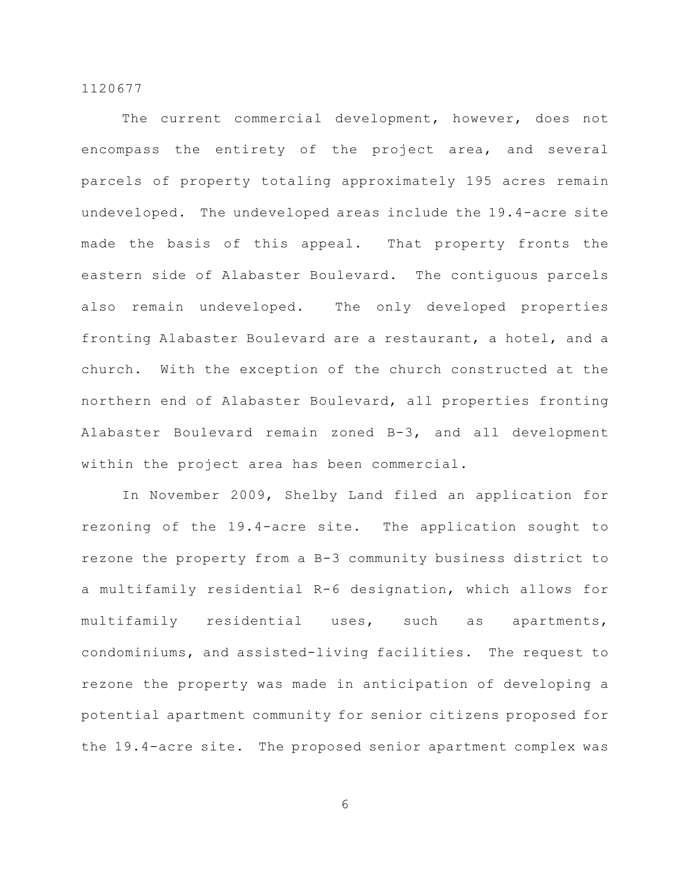The current commercial development, however, does not encompass the entirety of the project area, and several parcels of property totaling approximately 195 acres remain undeveloped. The undeveloped areas include the 19.4-acre site made the basis of this appeal. That property fronts the eastern side of Alabaster Boulevard. The contiguous parcels also remain undeveloped. The only developed properties fronting Alabaster Boulevard are a restaurant, a hotel, and a church. With the exception of the church constructed at the northern end of Alabaster Boulevard, all properties fronting Alabaster Boulevard remain zoned B-3, and all development within the project area has been commercial.

In November 2009, Shelby Land filed an application for rezoning of the 19.4-acre site. The application sought to rezone the property from a B-3 community business district to a multifamily residential R-6 designation, which allows for multifamily residential uses, such as apartments, condominiums, and assisted-living facilities. The request to rezone the property was made in anticipation of developing a potential apartment community for senior citizens proposed for the 19.4-acre site. The proposed senior apartment complex was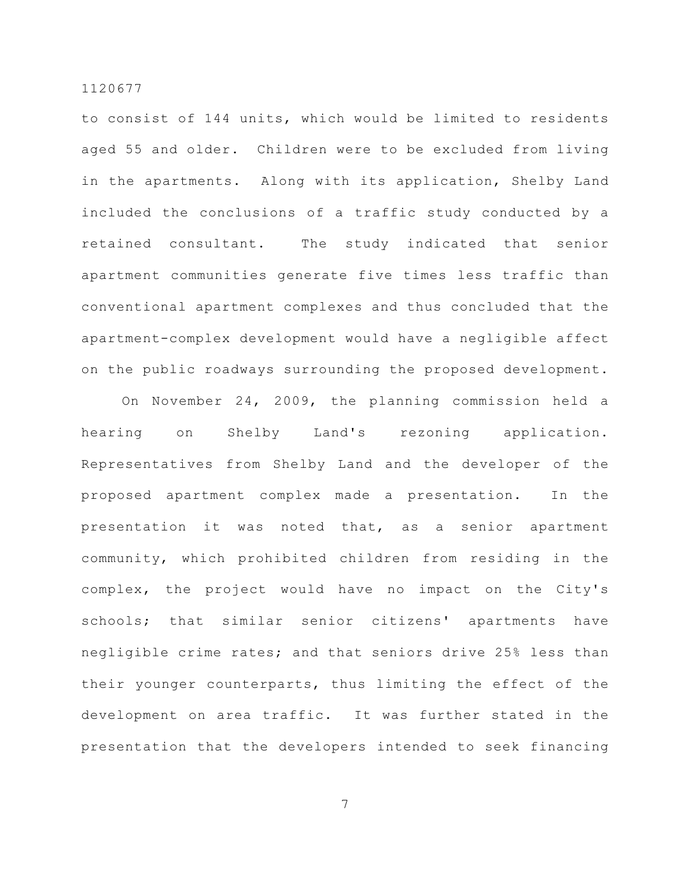to consist of 144 units, which would be limited to residents aged 55 and older. Children were to be excluded from living in the apartments. Along with its application, Shelby Land included the conclusions of a traffic study conducted by a retained consultant. The study indicated that senior apartment communities generate five times less traffic than conventional apartment complexes and thus concluded that the apartment-complex development would have a negligible affect on the public roadways surrounding the proposed development.

On November 24, 2009, the planning commission held a hearing on Shelby Land's rezoning application. Representatives from Shelby Land and the developer of the proposed apartment complex made a presentation. In the presentation it was noted that, as a senior apartment community, which prohibited children from residing in the complex, the project would have no impact on the City's schools; that similar senior citizens' apartments have negligible crime rates; and that seniors drive 25% less than their younger counterparts, thus limiting the effect of the development on area traffic. It was further stated in the presentation that the developers intended to seek financing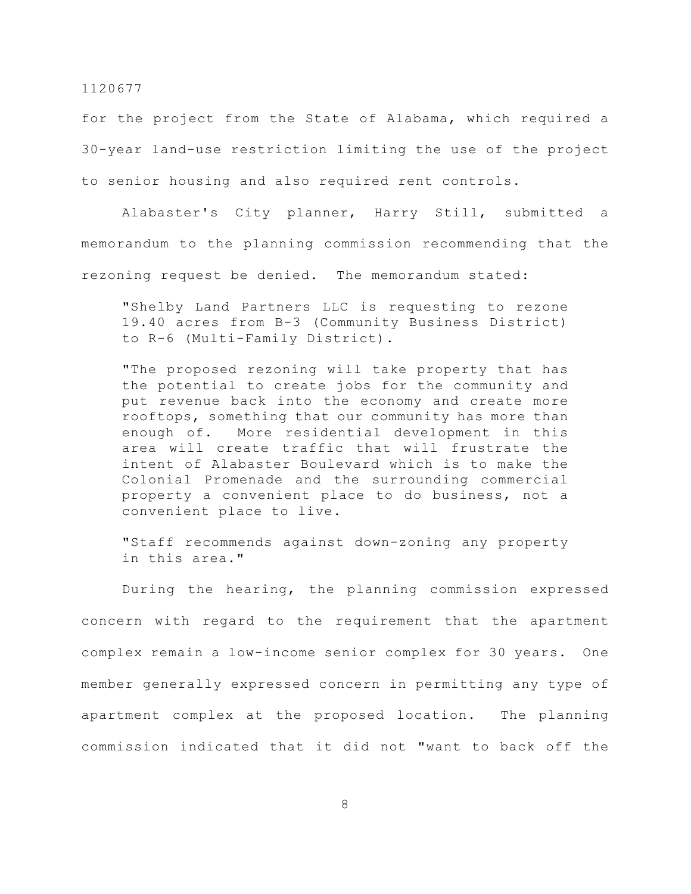for the project from the State of Alabama, which required a 30-year land-use restriction limiting the use of the project to senior housing and also required rent controls.

Alabaster's City planner, Harry Still, submitted a memorandum to the planning commission recommending that the rezoning request be denied. The memorandum stated:

"Shelby Land Partners LLC is requesting to rezone 19.40 acres from B-3 (Community Business District) to R-6 (Multi-Family District).

"The proposed rezoning will take property that has the potential to create jobs for the community and put revenue back into the economy and create more rooftops, something that our community has more than enough of. More residential development in this area will create traffic that will frustrate the intent of Alabaster Boulevard which is to make the Colonial Promenade and the surrounding commercial property a convenient place to do business, not a convenient place to live.

"Staff recommends against down-zoning any property in this area."

During the hearing, the planning commission expressed concern with regard to the requirement that the apartment complex remain a low-income senior complex for 30 years. One member generally expressed concern in permitting any type of apartment complex at the proposed location. The planning commission indicated that it did not "want to back off the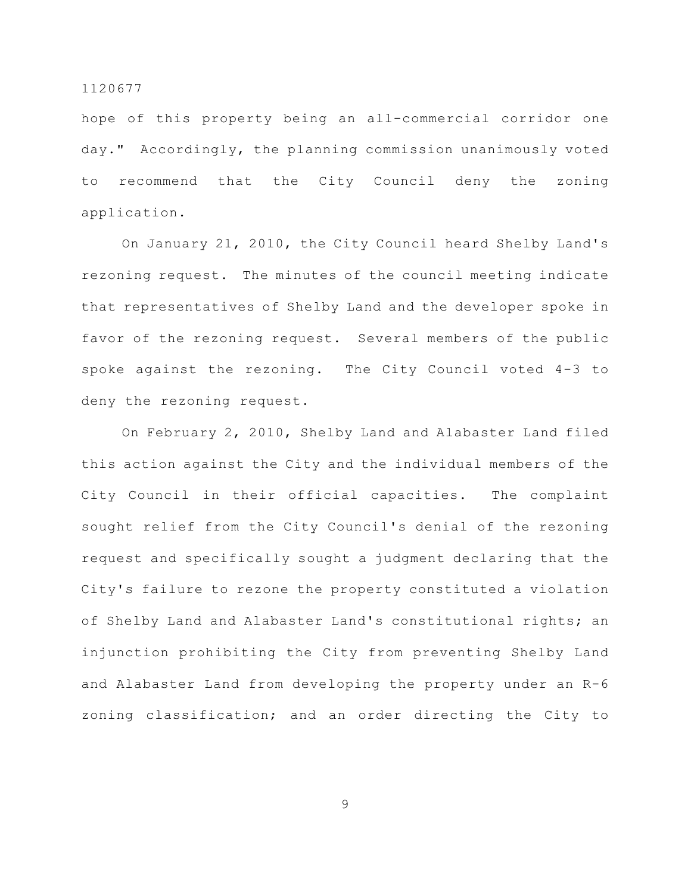hope of this property being an all-commercial corridor one day." Accordingly, the planning commission unanimously voted to recommend that the City Council deny the zoning application.

On January 21, 2010, the City Council heard Shelby Land's rezoning request. The minutes of the council meeting indicate that representatives of Shelby Land and the developer spoke in favor of the rezoning request. Several members of the public spoke against the rezoning. The City Council voted 4-3 to deny the rezoning request.

On February 2, 2010, Shelby Land and Alabaster Land filed this action against the City and the individual members of the City Council in their official capacities. The complaint sought relief from the City Council's denial of the rezoning request and specifically sought a judgment declaring that the City's failure to rezone the property constituted a violation of Shelby Land and Alabaster Land's constitutional rights; an injunction prohibiting the City from preventing Shelby Land and Alabaster Land from developing the property under an R-6 zoning classification; and an order directing the City to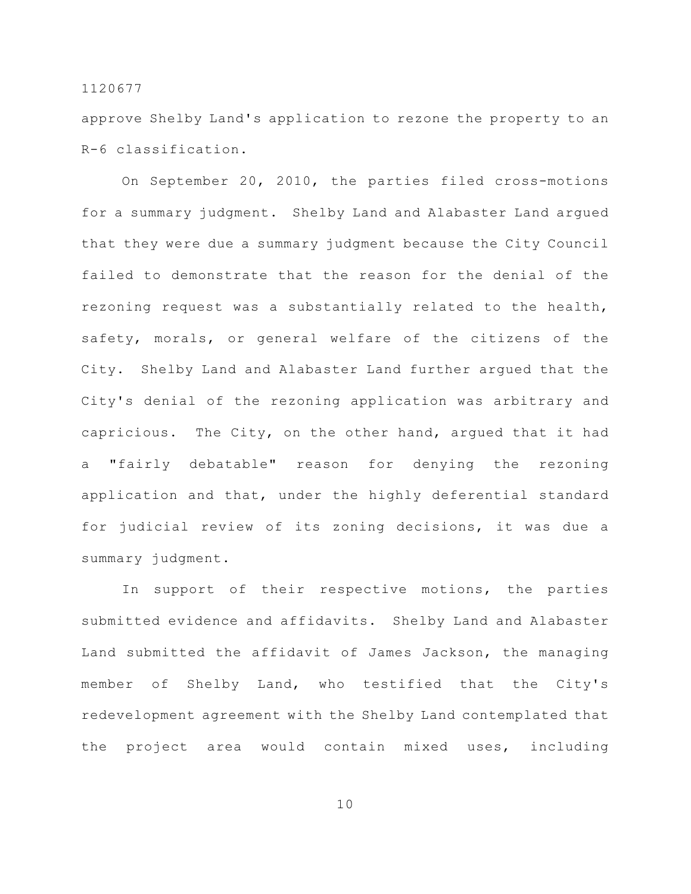approve Shelby Land's application to rezone the property to an R-6 classification.

On September 20, 2010, the parties filed cross-motions for a summary judgment. Shelby Land and Alabaster Land argued that they were due a summary judgment because the City Council failed to demonstrate that the reason for the denial of the rezoning request was a substantially related to the health, safety, morals, or general welfare of the citizens of the City. Shelby Land and Alabaster Land further argued that the City's denial of the rezoning application was arbitrary and capricious. The City, on the other hand, argued that it had a "fairly debatable" reason for denying the rezoning application and that, under the highly deferential standard for judicial review of its zoning decisions, it was due a summary judgment.

In support of their respective motions, the parties submitted evidence and affidavits. Shelby Land and Alabaster Land submitted the affidavit of James Jackson, the managing member of Shelby Land, who testified that the City's redevelopment agreement with the Shelby Land contemplated that the project area would contain mixed uses, including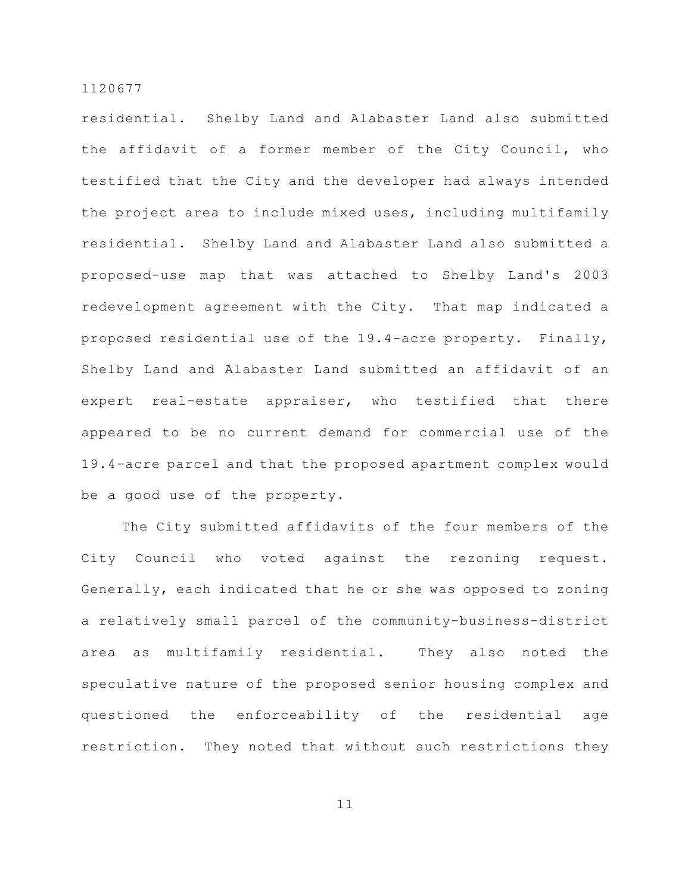residential. Shelby Land and Alabaster Land also submitted the affidavit of a former member of the City Council, who testified that the City and the developer had always intended the project area to include mixed uses, including multifamily residential. Shelby Land and Alabaster Land also submitted a proposed-use map that was attached to Shelby Land's 2003 redevelopment agreement with the City. That map indicated a proposed residential use of the 19.4-acre property. Finally, Shelby Land and Alabaster Land submitted an affidavit of an expert real-estate appraiser, who testified that there appeared to be no current demand for commercial use of the 19.4-acre parcel and that the proposed apartment complex would be a good use of the property.

The City submitted affidavits of the four members of the City Council who voted against the rezoning request. Generally, each indicated that he or she was opposed to zoning a relatively small parcel of the community-business-district area as multifamily residential. They also noted the speculative nature of the proposed senior housing complex and questioned the enforceability of the residential age restriction. They noted that without such restrictions they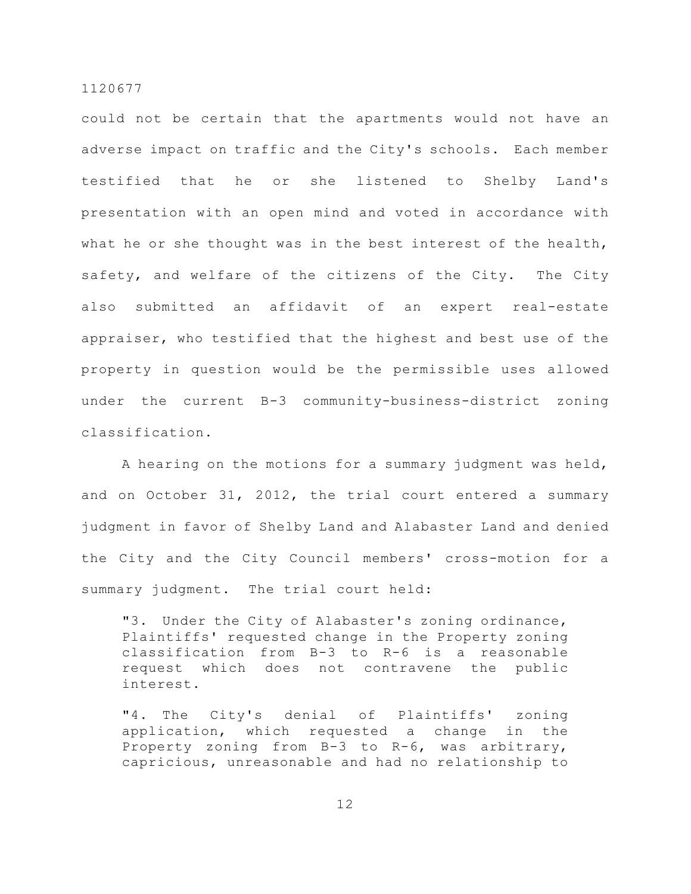could not be certain that the apartments would not have an adverse impact on traffic and the City's schools. Each member testified that he or she listened to Shelby Land's presentation with an open mind and voted in accordance with what he or she thought was in the best interest of the health, safety, and welfare of the citizens of the City. The City also submitted an affidavit of an expert real-estate appraiser, who testified that the highest and best use of the property in question would be the permissible uses allowed under the current B-3 community-business-district zoning classification.

A hearing on the motions for a summary judgment was held, and on October 31, 2012, the trial court entered a summary judgment in favor of Shelby Land and Alabaster Land and denied the City and the City Council members' cross-motion for a summary judgment. The trial court held:

"3. Under the City of Alabaster's zoning ordinance, Plaintiffs' requested change in the Property zoning classification from B-3 to R-6 is a reasonable request which does not contravene the public interest.

"4. The City's denial of Plaintiffs' zoning application, which requested a change in the Property zoning from B-3 to R-6, was arbitrary, capricious, unreasonable and had no relationship to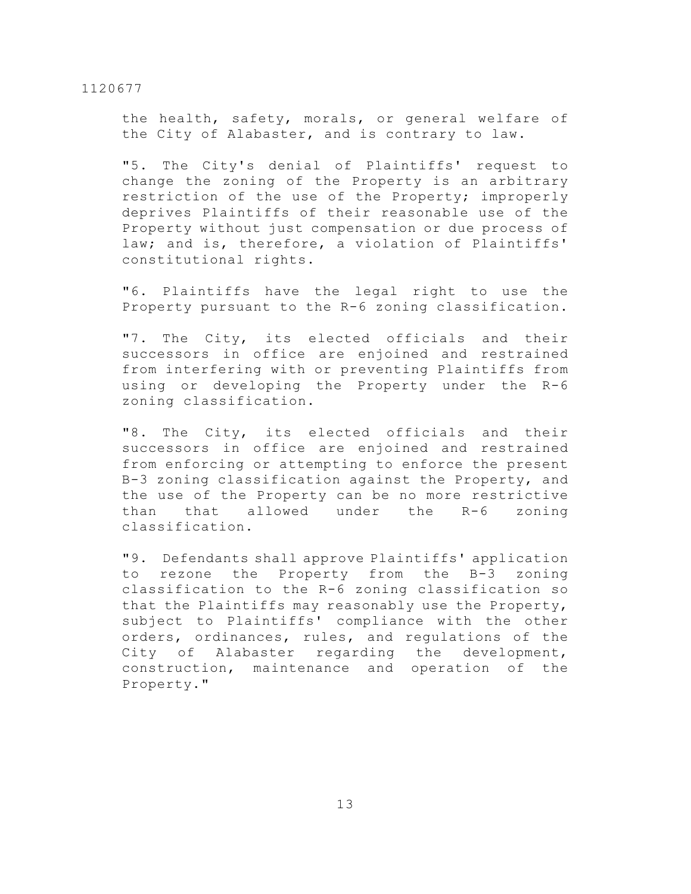the health, safety, morals, or general welfare of the City of Alabaster, and is contrary to law.

"5. The City's denial of Plaintiffs' request to change the zoning of the Property is an arbitrary restriction of the use of the Property; improperly deprives Plaintiffs of their reasonable use of the Property without just compensation or due process of law; and is, therefore, a violation of Plaintiffs' constitutional rights.

"6. Plaintiffs have the legal right to use the Property pursuant to the R-6 zoning classification.

"7. The City, its elected officials and their successors in office are enjoined and restrained from interfering with or preventing Plaintiffs from using or developing the Property under the R-6 zoning classification.

"8. The City, its elected officials and their successors in office are enjoined and restrained from enforcing or attempting to enforce the present B-3 zoning classification against the Property, and the use of the Property can be no more restrictive than that allowed under the R-6 zoning classification.

"9. Defendants shall approve Plaintiffs' application to rezone the Property from the B-3 zoning classification to the R-6 zoning classification so that the Plaintiffs may reasonably use the Property, subject to Plaintiffs' compliance with the other orders, ordinances, rules, and regulations of the City of Alabaster regarding the development, construction, maintenance and operation of the Property."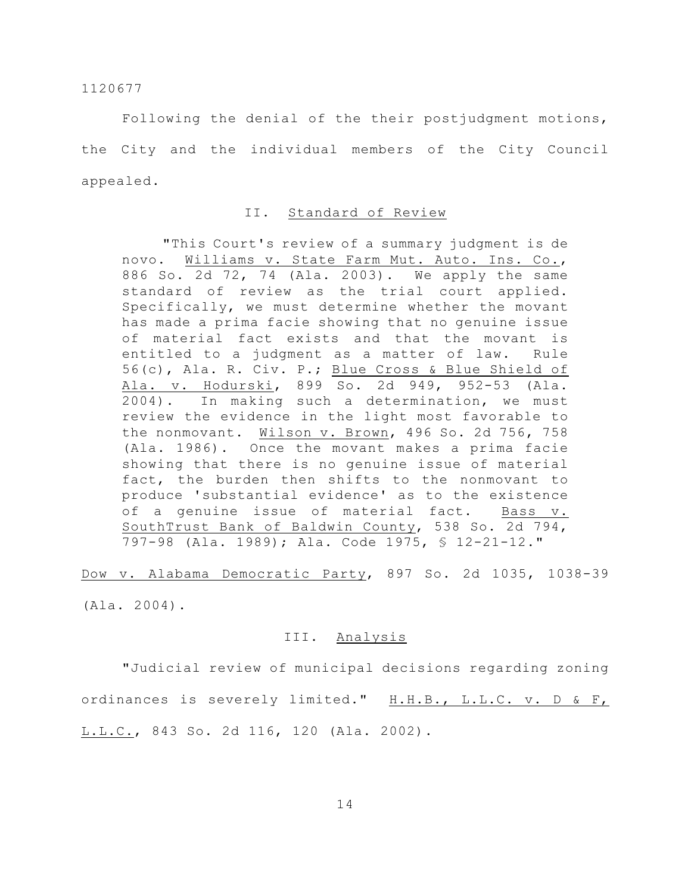Following the denial of the their postjudgment motions, the City and the individual members of the City Council appealed.

# II. Standard of Review

"This Court's review of a summary judgment is de novo. Williams v. State Farm Mut. Auto. Ins. Co., 886 So. 2d 72, 74 (Ala. 2003). We apply the same standard of review as the trial court applied. Specifically, we must determine whether the movant has made a prima facie showing that no genuine issue of material fact exists and that the movant is entitled to a judgment as a matter of law. Rule 56(c), Ala. R. Civ. P.; Blue Cross & Blue Shield of Ala. v. Hodurski, 899 So. 2d 949, 952-53 (Ala. 2004). In making such a determination, we must review the evidence in the light most favorable to the nonmovant. Wilson v. Brown, 496 So. 2d 756, 758 (Ala. 1986). Once the movant makes a prima facie showing that there is no genuine issue of material fact, the burden then shifts to the nonmovant to produce 'substantial evidence' as to the existence of a genuine issue of material fact. Bass v. SouthTrust Bank of Baldwin County, 538 So. 2d 794, 797-98 (Ala. 1989); Ala. Code 1975, § 12-21-12."

Dow v. Alabama Democratic Party, 897 So. 2d 1035, 1038-39 (Ala. 2004).

#### III. Analysis

"Judicial review of municipal decisions regarding zoning ordinances is severely limited." H.H.B., L.L.C. v. D & F, L.L.C., 843 So. 2d 116, 120 (Ala. 2002).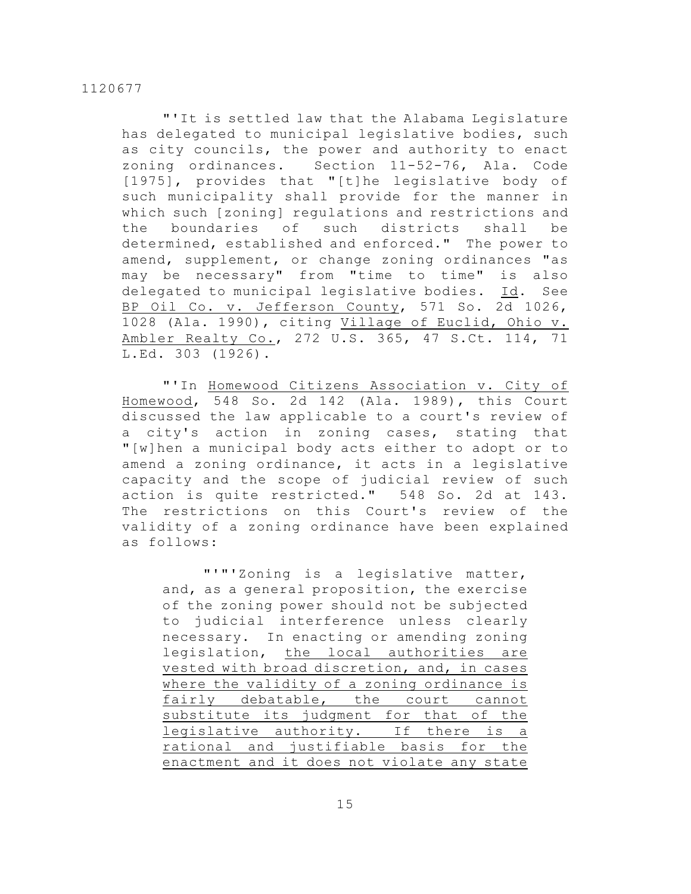"'It is settled law that the Alabama Legislature has delegated to municipal legislative bodies, such as city councils, the power and authority to enact zoning ordinances. Section 11-52-76, Ala. Code [1975], provides that "[t]he legislative body of such municipality shall provide for the manner in which such [zoning] regulations and restrictions and the boundaries of such districts shall be determined, established and enforced." The power to amend, supplement, or change zoning ordinances "as may be necessary" from "time to time" is also delegated to municipal legislative bodies. Id. See BP Oil Co. v. Jefferson County, 571 So. 2d 1026, 1028 (Ala. 1990), citing Village of Euclid, Ohio v. Ambler Realty Co., 272 U.S. 365, 47 S.Ct. 114, 71 L.Ed. 303 (1926).

"'In Homewood Citizens Association v. City of Homewood, 548 So. 2d 142 (Ala. 1989), this Court discussed the law applicable to a court's review of a city's action in zoning cases, stating that "[w]hen a municipal body acts either to adopt or to amend a zoning ordinance, it acts in a legislative capacity and the scope of judicial review of such action is quite restricted." 548 So. 2d at 143. The restrictions on this Court's review of the validity of a zoning ordinance have been explained as follows:

"'"'Zoning is a legislative matter, and, as a general proposition, the exercise of the zoning power should not be subjected to judicial interference unless clearly necessary. In enacting or amending zoning legislation, the local authorities are vested with broad discretion, and, in cases where the validity of a zoning ordinance is fairly debatable, the court cannot substitute its judgment for that of the legislative authority. If there is a rational and justifiable basis for the enactment and it does not violate any state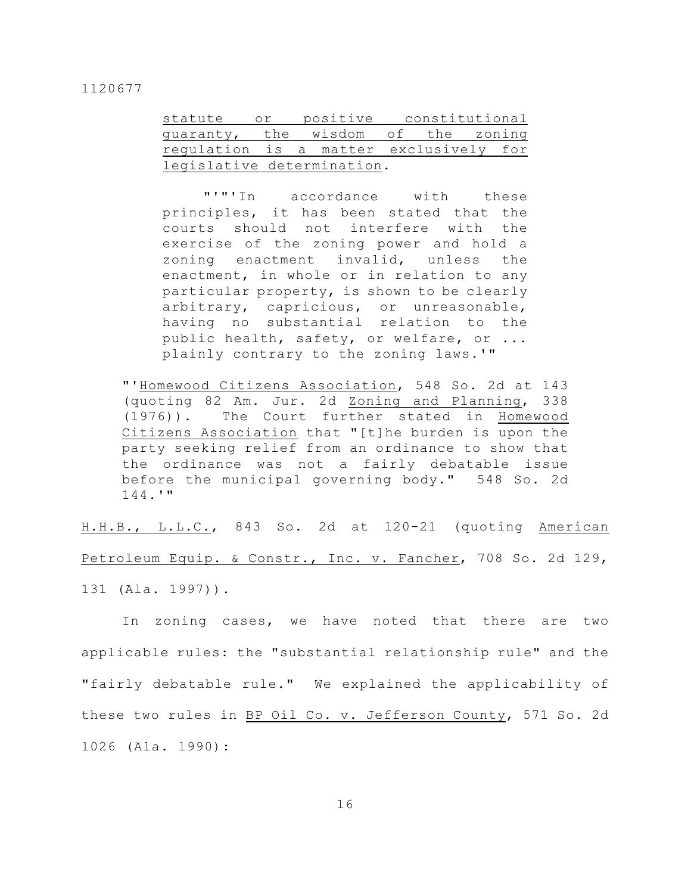| statute or positive constitutional     |  |  |  |  |
|----------------------------------------|--|--|--|--|
| quaranty, the wisdom of the zoning     |  |  |  |  |
| regulation is a matter exclusively for |  |  |  |  |
| legislative determination.             |  |  |  |  |

"'"'In accordance with these principles, it has been stated that the courts should not interfere with the exercise of the zoning power and hold a zoning enactment invalid, unless the enactment, in whole or in relation to any particular property, is shown to be clearly arbitrary, capricious, or unreasonable, having no substantial relation to the public health, safety, or welfare, or ... plainly contrary to the zoning laws.'"

"'Homewood Citizens Association, 548 So. 2d at 143 (quoting 82 Am. Jur. 2d Zoning and Planning, 338 (1976)). The Court further stated in Homewood Citizens Association that "[t]he burden is upon the party seeking relief from an ordinance to show that the ordinance was not a fairly debatable issue before the municipal governing body." 548 So. 2d 144.'"

H.H.B., L.L.C., 843 So. 2d at 120-21 (quoting American Petroleum Equip. & Constr., Inc. v. Fancher, 708 So. 2d 129, 131 (Ala. 1997)).

In zoning cases, we have noted that there are two applicable rules: the "substantial relationship rule" and the "fairly debatable rule." We explained the applicability of these two rules in BP Oil Co. v. Jefferson County, 571 So. 2d 1026 (Ala. 1990):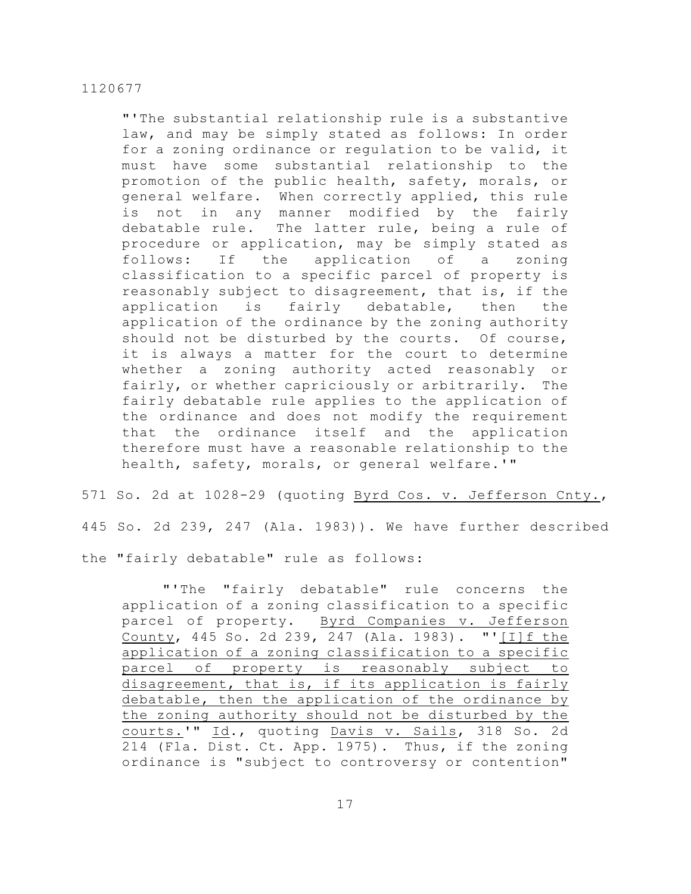"'The substantial relationship rule is a substantive law, and may be simply stated as follows: In order for a zoning ordinance or regulation to be valid, it must have some substantial relationship to the promotion of the public health, safety, morals, or general welfare. When correctly applied, this rule is not in any manner modified by the fairly debatable rule. The latter rule, being a rule of procedure or application, may be simply stated as follows: If the application of a zoning classification to a specific parcel of property is reasonably subject to disagreement, that is, if the application is fairly debatable, then the application of the ordinance by the zoning authority should not be disturbed by the courts. Of course, it is always a matter for the court to determine whether a zoning authority acted reasonably or fairly, or whether capriciously or arbitrarily. The fairly debatable rule applies to the application of the ordinance and does not modify the requirement that the ordinance itself and the application therefore must have a reasonable relationship to the health, safety, morals, or general welfare.'"

571 So. 2d at 1028-29 (quoting Byrd Cos. v. Jefferson Cnty., 445 So. 2d 239, 247 (Ala. 1983)). We have further described the "fairly debatable" rule as follows:

"'The "fairly debatable" rule concerns the application of a zoning classification to a specific parcel of property. Byrd Companies v. Jefferson County, 445 So. 2d 239, 247 (Ala. 1983). "'[I]f the application of a zoning classification to a specific parcel of property is reasonably subject to disagreement, that is, if its application is fairly debatable, then the application of the ordinance by the zoning authority should not be disturbed by the courts.'" Id., quoting Davis v. Sails, 318 So. 2d 214 (Fla. Dist. Ct. App. 1975). Thus, if the zoning ordinance is "subject to controversy or contention"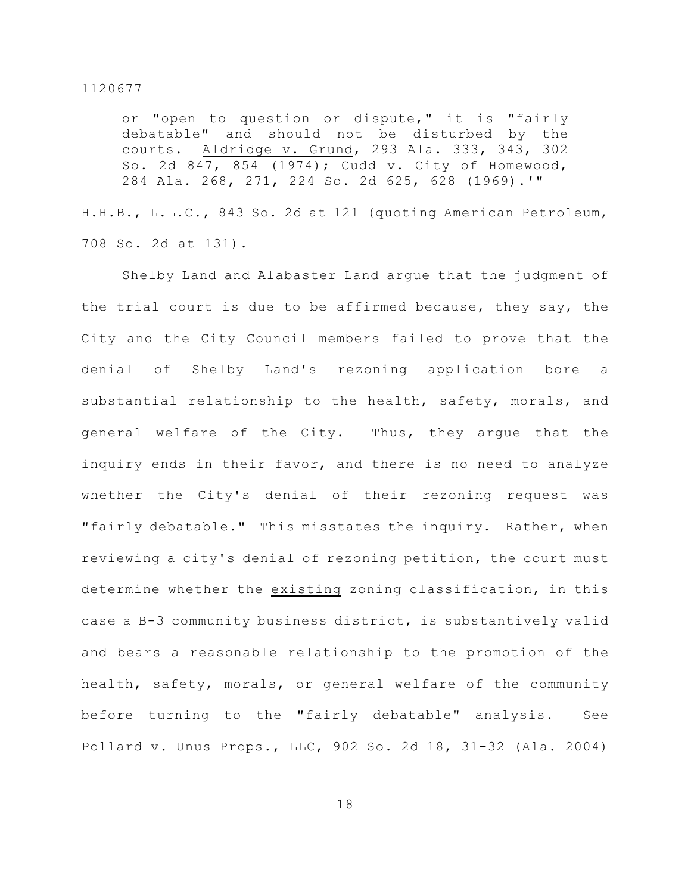or "open to question or dispute," it is "fairly debatable" and should not be disturbed by the courts. Aldridge v. Grund, 293 Ala. 333, 343, 302 So. 2d 847, 854 (1974); Cudd v. City of Homewood, 284 Ala. 268, 271, 224 So. 2d 625, 628 (1969).'"

H.H.B., L.L.C., 843 So. 2d at 121 (quoting American Petroleum, 708 So. 2d at 131).

Shelby Land and Alabaster Land argue that the judgment of the trial court is due to be affirmed because, they say, the City and the City Council members failed to prove that the denial of Shelby Land's rezoning application bore a substantial relationship to the health, safety, morals, and general welfare of the City. Thus, they argue that the inquiry ends in their favor, and there is no need to analyze whether the City's denial of their rezoning request was "fairly debatable." This misstates the inquiry. Rather, when reviewing a city's denial of rezoning petition, the court must determine whether the existing zoning classification, in this case a B-3 community business district, is substantively valid and bears a reasonable relationship to the promotion of the health, safety, morals, or general welfare of the community before turning to the "fairly debatable" analysis. See Pollard v. Unus Props., LLC, 902 So. 2d 18, 31-32 (Ala. 2004)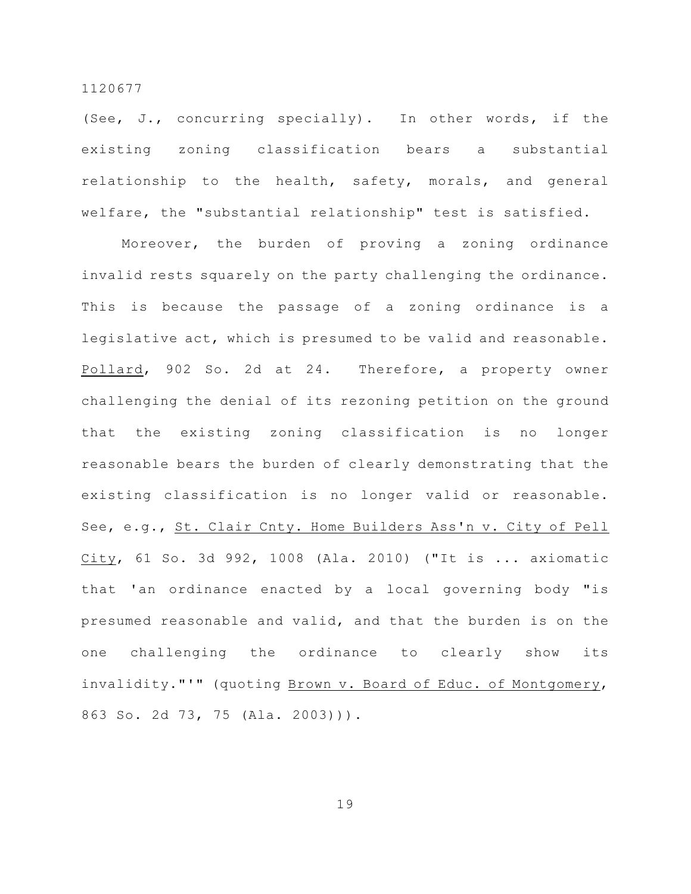(See, J., concurring specially). In other words, if the existing zoning classification bears a substantial relationship to the health, safety, morals, and general welfare, the "substantial relationship" test is satisfied.

Moreover, the burden of proving a zoning ordinance invalid rests squarely on the party challenging the ordinance. This is because the passage of a zoning ordinance is a legislative act, which is presumed to be valid and reasonable. Pollard, 902 So. 2d at 24. Therefore, a property owner challenging the denial of its rezoning petition on the ground that the existing zoning classification is no longer reasonable bears the burden of clearly demonstrating that the existing classification is no longer valid or reasonable. See, e.g., St. Clair Cnty. Home Builders Ass'n v. City of Pell City, 61 So. 3d 992, 1008 (Ala. 2010) ("It is ... axiomatic that 'an ordinance enacted by a local governing body "is presumed reasonable and valid, and that the burden is on the one challenging the ordinance to clearly show its invalidity."'" (quoting Brown v. Board of Educ. of Montgomery, 863 So. 2d 73, 75 (Ala. 2003))).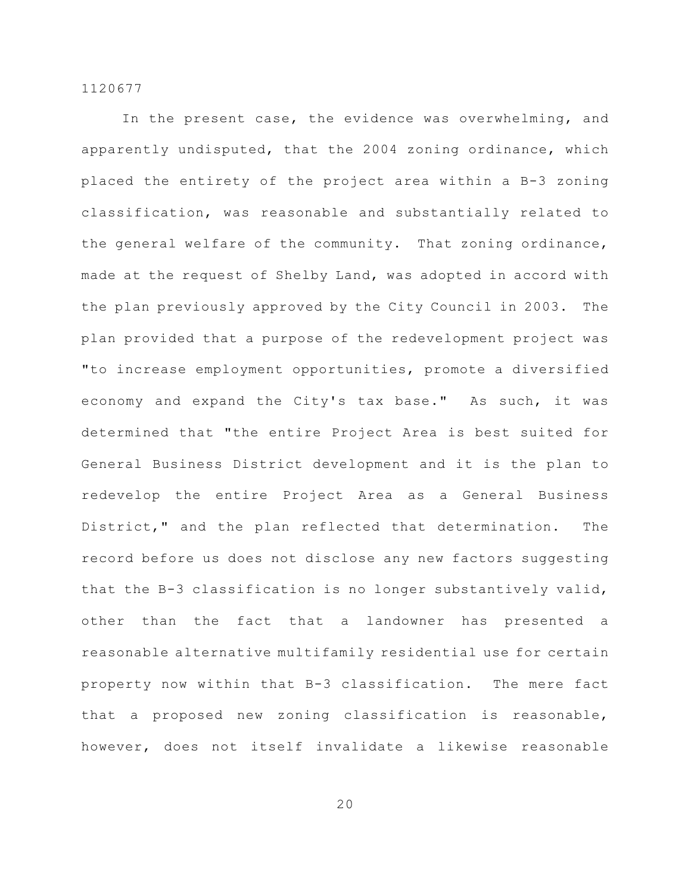In the present case, the evidence was overwhelming, and apparently undisputed, that the 2004 zoning ordinance, which placed the entirety of the project area within a B-3 zoning classification, was reasonable and substantially related to the general welfare of the community. That zoning ordinance, made at the request of Shelby Land, was adopted in accord with the plan previously approved by the City Council in 2003. The plan provided that a purpose of the redevelopment project was "to increase employment opportunities, promote a diversified economy and expand the City's tax base." As such, it was determined that "the entire Project Area is best suited for General Business District development and it is the plan to redevelop the entire Project Area as a General Business District," and the plan reflected that determination. The record before us does not disclose any new factors suggesting that the B-3 classification is no longer substantively valid, other than the fact that a landowner has presented a reasonable alternative multifamily residential use for certain property now within that B-3 classification. The mere fact that a proposed new zoning classification is reasonable, however, does not itself invalidate a likewise reasonable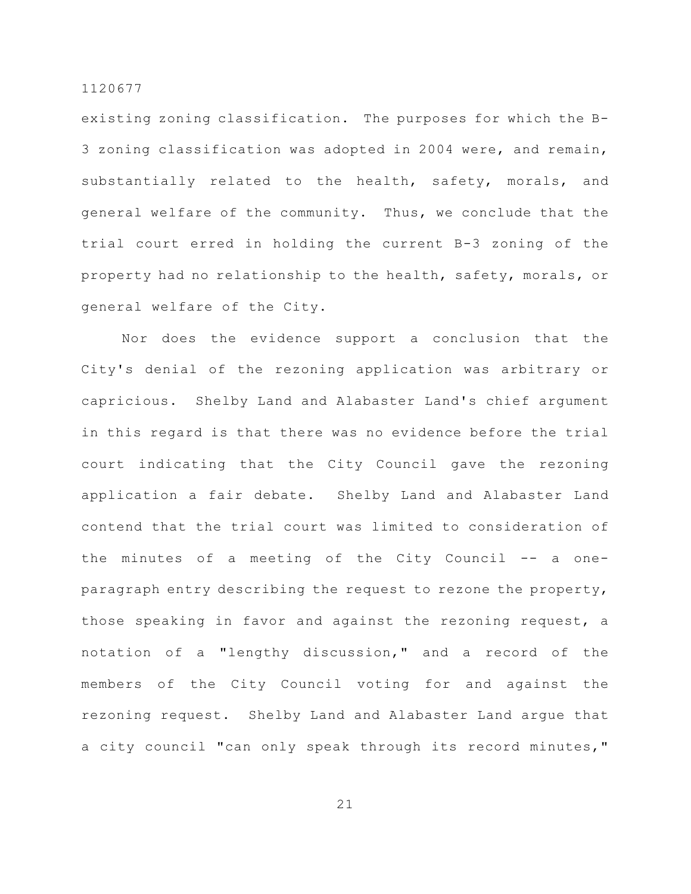existing zoning classification. The purposes for which the B-3 zoning classification was adopted in 2004 were, and remain, substantially related to the health, safety, morals, and general welfare of the community. Thus, we conclude that the trial court erred in holding the current B-3 zoning of the property had no relationship to the health, safety, morals, or general welfare of the City.

Nor does the evidence support a conclusion that the City's denial of the rezoning application was arbitrary or capricious. Shelby Land and Alabaster Land's chief argument in this regard is that there was no evidence before the trial court indicating that the City Council gave the rezoning application a fair debate. Shelby Land and Alabaster Land contend that the trial court was limited to consideration of the minutes of a meeting of the City Council -- a oneparagraph entry describing the request to rezone the property, those speaking in favor and against the rezoning request, a notation of a "lengthy discussion," and a record of the members of the City Council voting for and against the rezoning request. Shelby Land and Alabaster Land argue that a city council "can only speak through its record minutes,"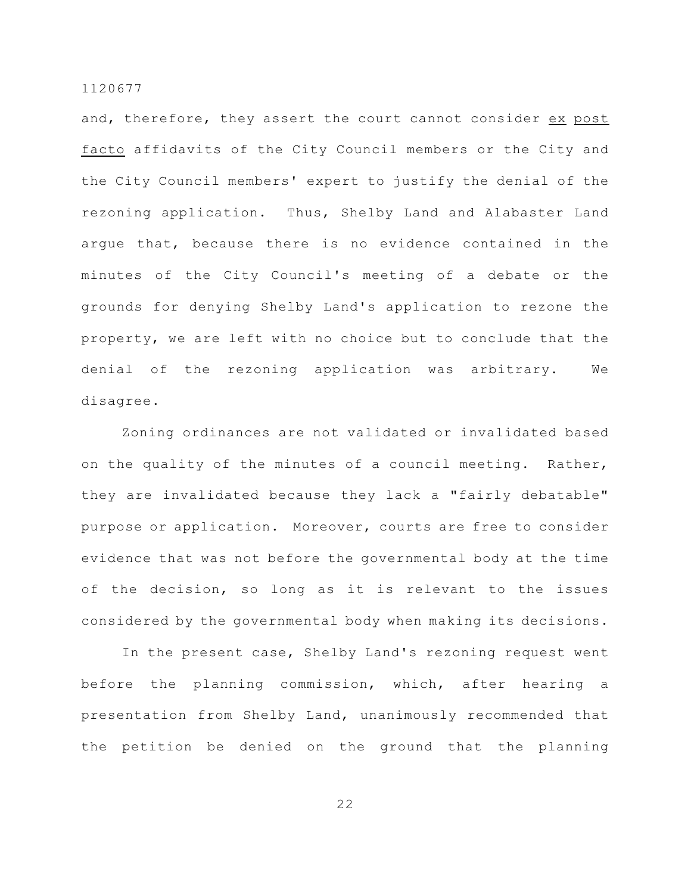and, therefore, they assert the court cannot consider ex post facto affidavits of the City Council members or the City and the City Council members' expert to justify the denial of the rezoning application. Thus, Shelby Land and Alabaster Land argue that, because there is no evidence contained in the minutes of the City Council's meeting of a debate or the grounds for denying Shelby Land's application to rezone the property, we are left with no choice but to conclude that the denial of the rezoning application was arbitrary. We disagree.

Zoning ordinances are not validated or invalidated based on the quality of the minutes of a council meeting. Rather, they are invalidated because they lack a "fairly debatable" purpose or application. Moreover, courts are free to consider evidence that was not before the governmental body at the time of the decision, so long as it is relevant to the issues considered by the governmental body when making its decisions.

In the present case, Shelby Land's rezoning request went before the planning commission, which, after hearing a presentation from Shelby Land, unanimously recommended that the petition be denied on the ground that the planning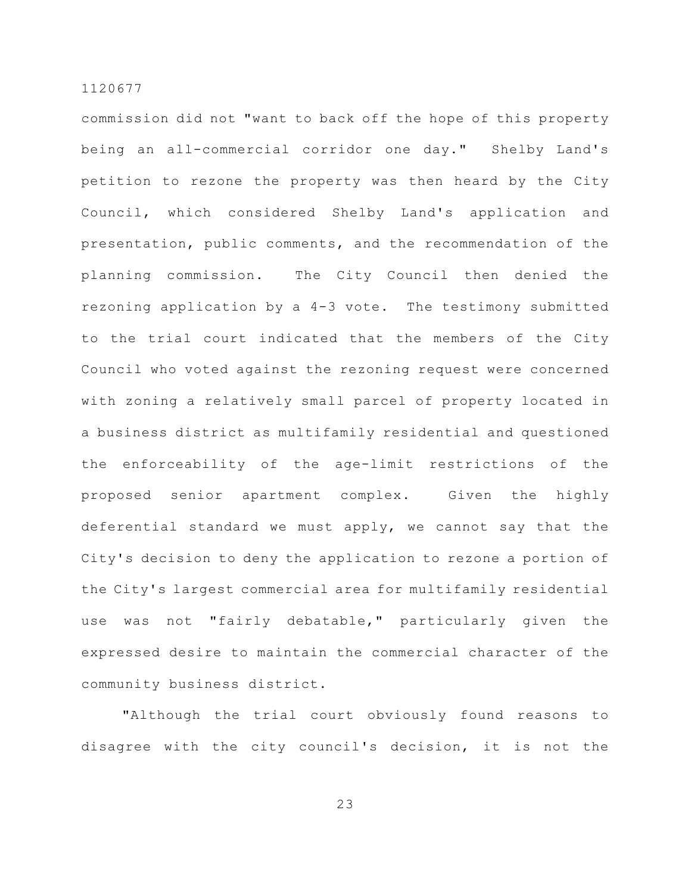commission did not "want to back off the hope of this property being an all-commercial corridor one day." Shelby Land's petition to rezone the property was then heard by the City Council, which considered Shelby Land's application and presentation, public comments, and the recommendation of the planning commission. The City Council then denied the rezoning application by a 4-3 vote. The testimony submitted to the trial court indicated that the members of the City Council who voted against the rezoning request were concerned with zoning a relatively small parcel of property located in a business district as multifamily residential and questioned the enforceability of the age-limit restrictions of the proposed senior apartment complex. Given the highly deferential standard we must apply, we cannot say that the City's decision to deny the application to rezone a portion of the City's largest commercial area for multifamily residential use was not "fairly debatable," particularly given the expressed desire to maintain the commercial character of the community business district.

"Although the trial court obviously found reasons to disagree with the city council's decision, it is not the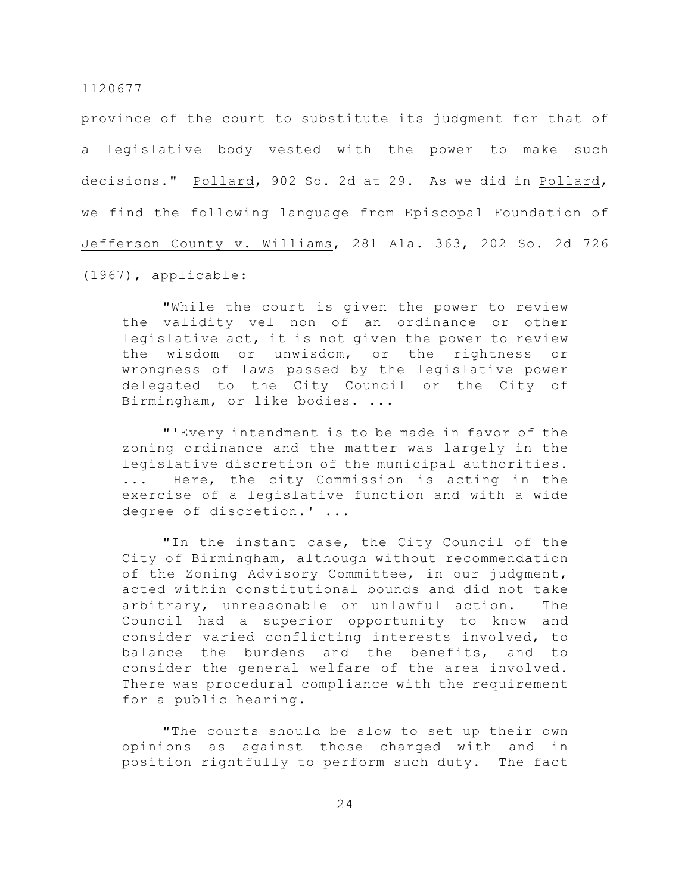province of the court to substitute its judgment for that of a legislative body vested with the power to make such decisions." Pollard, 902 So. 2d at 29. As we did in Pollard, we find the following language from Episcopal Foundation of Jefferson County v. Williams, 281 Ala. 363, 202 So. 2d 726 (1967), applicable:

"While the court is given the power to review the validity vel non of an ordinance or other legislative act, it is not given the power to review the wisdom or unwisdom, or the rightness or wrongness of laws passed by the legislative power delegated to the City Council or the City of Birmingham, or like bodies. ...

"'Every intendment is to be made in favor of the zoning ordinance and the matter was largely in the legislative discretion of the municipal authorities. ... Here, the city Commission is acting in the exercise of a legislative function and with a wide degree of discretion.' ...

"In the instant case, the City Council of the City of Birmingham, although without recommendation of the Zoning Advisory Committee, in our judgment, acted within constitutional bounds and did not take arbitrary, unreasonable or unlawful action. The Council had a superior opportunity to know and consider varied conflicting interests involved, to balance the burdens and the benefits, and to consider the general welfare of the area involved. There was procedural compliance with the requirement for a public hearing.

"The courts should be slow to set up their own opinions as against those charged with and in position rightfully to perform such duty. The fact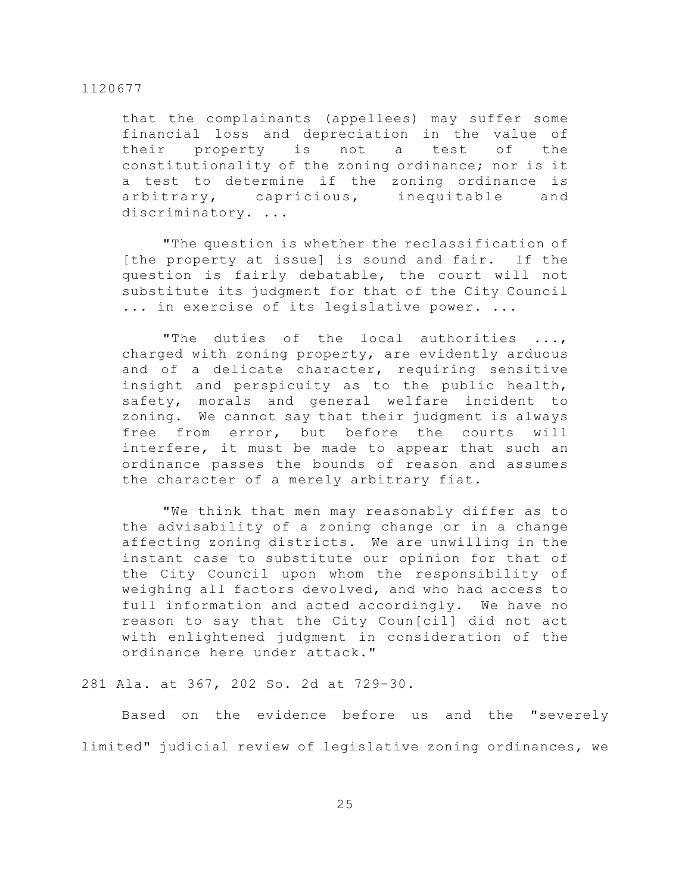that the complainants (appellees) may suffer some financial loss and depreciation in the value of their property is not a test of the constitutionality of the zoning ordinance; nor is it a test to determine if the zoning ordinance is arbitrary, capricious, inequitable and discriminatory. ...

"The question is whether the reclassification of [the property at issue] is sound and fair. If the question is fairly debatable, the court will not substitute its judgment for that of the City Council ... in exercise of its legislative power. ...

"The duties of the local authorities ..., charged with zoning property, are evidently arduous and of a delicate character, requiring sensitive insight and perspicuity as to the public health, safety, morals and general welfare incident to zoning. We cannot say that their judgment is always free from error, but before the courts will interfere, it must be made to appear that such an ordinance passes the bounds of reason and assumes the character of a merely arbitrary fiat.

"We think that men may reasonably differ as to the advisability of a zoning change or in a change affecting zoning districts. We are unwilling in the instant case to substitute our opinion for that of the City Council upon whom the responsibility of weighing all factors devolved, and who had access to full information and acted accordingly. We have no reason to say that the City Coun[cil] did not act with enlightened judgment in consideration of the ordinance here under attack."

# 281 Ala. at 367, 202 So. 2d at 729-30.

Based on the evidence before us and the "severely limited" judicial review of legislative zoning ordinances, we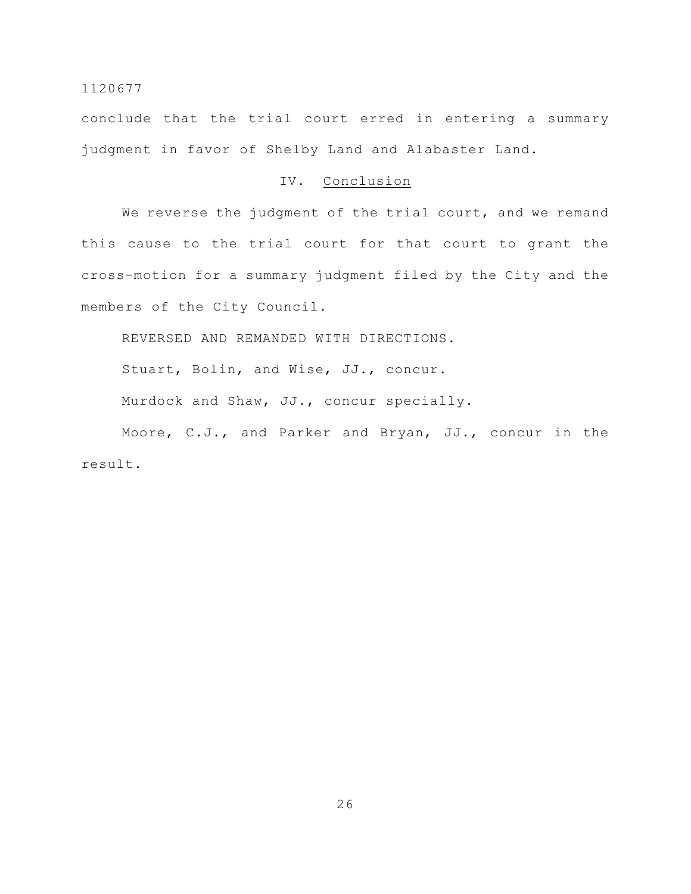conclude that the trial court erred in entering a summary judgment in favor of Shelby Land and Alabaster Land.

# IV. Conclusion

We reverse the judgment of the trial court, and we remand this cause to the trial court for that court to grant the cross-motion for a summary judgment filed by the City and the members of the City Council.

REVERSED AND REMANDED WITH DIRECTIONS.

Stuart, Bolin, and Wise, JJ., concur.

Murdock and Shaw, JJ., concur specially.

Moore, C.J., and Parker and Bryan, JJ., concur in the result.